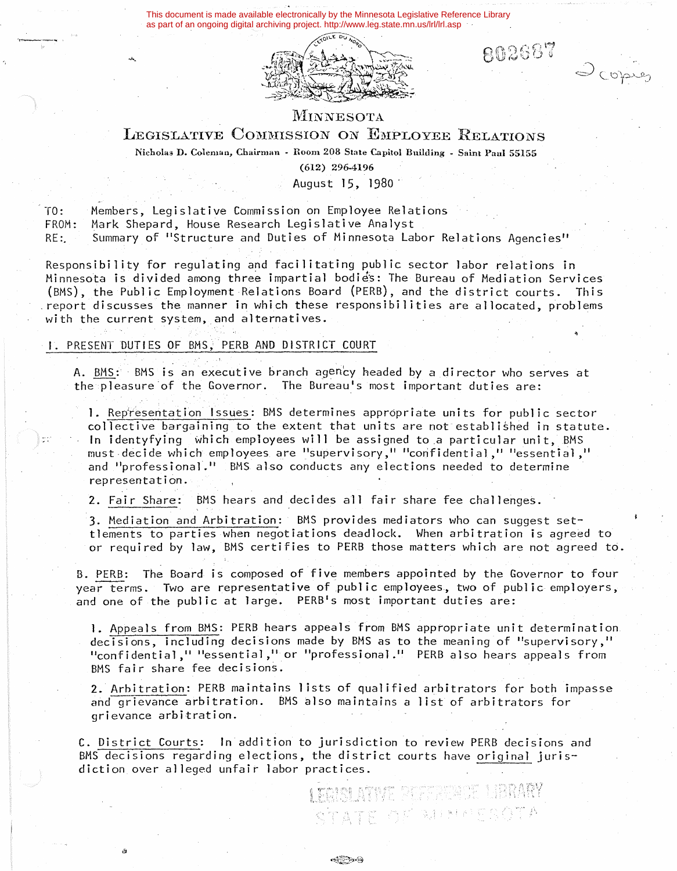This document is made available electronically by the Minnesota Legislative Reference Library as part of an ongoing digital archiving project. http://www.leg.state.mn.us/lrl/lrl.asp



802687

Scopies

# MINNESOTA

## LEGISLATIVE COMMISSION ON EMPLOYEE RELATIONS

**Nicholas D. Coleman, Chairman** - **Room 208 State Capitol Building** - **Saint Paul 55155** 

**(612) 296-4196** 

August 15, 1980 ·

 $TO:$ FROM: Members, Legislative Commission on Employee Relations Mark Shepard, House Research Legislative Analyst

RE: Summary of "Structure and Duties of Minnesota Labor Relations Agencies"

Responsibility for regulating and facilitating public sector labor relations in Minnesota is divided among three impartial bodies: The Bureau of Mediation Services (BMS), the Public Employment-Relations Board (PERB), and the district courts. This .report discusses the manner in which these responsibilities are allocated, problems with the current system, and alternatives.

#### I. PRESENT UUTIES OF BMS, PERS AND DISTRICT COURT

A. BMS: BMS is an executive branch agency headed by a director who serves at the pleasure of the Governor. The Bureau's most important duties are:

1. Representation Issues: BMS determines appropriate units for public sector collective bargaining to the extent that units are not established in statute. In identyfying which employees will be assigned to a particular unit, BMS must decide which employees are "supervisory," "confidential," "essential," and "professional." BMS also conducts any elections needed to determine representation.

2. Fair Share: BMS hears and decides all fair share fee challenges.

3. Mediation and Arbitration: BMS provides mediators who can suggest settlements to parties when negotiations deadlock. When arbitration is agreed to or required by law, BMS certifies to PERB those matters which are not agreed to.

8. PERB: The Board is composed of five members appointed by the Governor to four year terms. Two are representative of public employees, two of public employers, and one of the public at large. PERB's most important duties are:

**l.** Appeals from BMS: PERB hears appeals from BMS apptopriate unit determination decisions, including decisions made by BMS as to the meaning of "supervisory," "confidential," "essential," or "professional." PERB also hears appeals from BMS fair share fee decisions.

2. Arbitration: PERB maintains lists of qualified arbitrators for both impasse and grievance arbitration. BMS also maintains a list of arbitrators for grievance arbitration.

C. District Courts: In addition to jurisdiction to review PERB decisions and BMS decisions regarding elections, the district courts have original jurisdiction over alleged unfair labor practices.

وباستخرجتهم

I TAINI ATIVE BETAR STATE OF BUNNESOTA